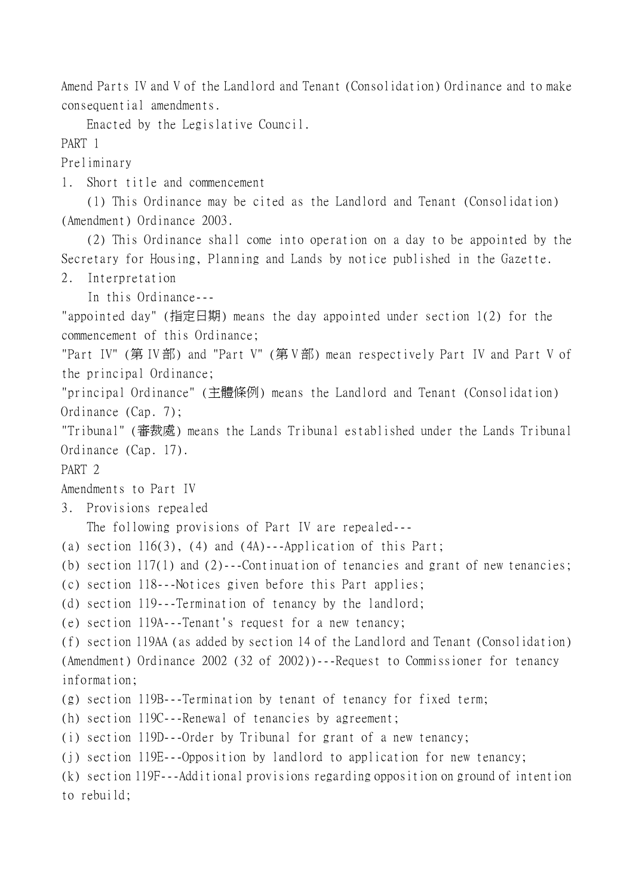Amend Parts IV and V of the Landlord and Tenant (Consolidation) Ordinance and to make consequential amendments.

Enacted by the Legislative Council.

PART 1

Preliminary

1. Short title and commencement

(1) This Ordinance may be cited as the Landlord and Tenant (Consolidation) (Amendment) Ordinance 2003.

(2) This Ordinance shall come into operation on a day to be appointed by the Secretary for Housing, Planning and Lands by notice published in the Gazette. 2. Interpretation

In this Ordinance---

"appointed day" (指定日期) means the day appointed under section 1(2) for the commencement of this Ordinance;

"Part IV" (第 IV 部) and "Part V" (第 V 部) mean respectively Part IV and Part V of the principal Ordinance;

"principal Ordinance" (主體條例) means the Landlord and Tenant (Consolidation) Ordinance (Cap. 7);

"Tribunal" (審裁處) means the Lands Tribunal established under the Lands Tribunal Ordinance (Cap. 17).

PART 2

Amendments to Part IV

3. Provisions repealed

The following provisions of Part IV are repealed---

- (a) section 116(3), (4) and (4A)---Application of this Part;
- (b) section 117(1) and (2)---Continuation of tenancies and grant of new tenancies;
- (c) section 118---Notices given before this Part applies;
- (d) section 119---Termination of tenancy by the landlord;
- (e) section 119A---Tenant's request for a new tenancy;

(f) section 119AA (as added by section 14 of the Landlord and Tenant (Consolidation) (Amendment) Ordinance 2002 (32 of 2002))---Request to Commissioner for tenancy

information;

- (g) section 119B---Termination by tenant of tenancy for fixed term;
- (h) section 119C---Renewal of tenancies by agreement;
- (i) section 119D---Order by Tribunal for grant of a new tenancy;
- (j) section 119E---Opposition by landlord to application for new tenancy;
- (k) section 119F---Additional provisions regarding opposition on ground of intention to rebuild;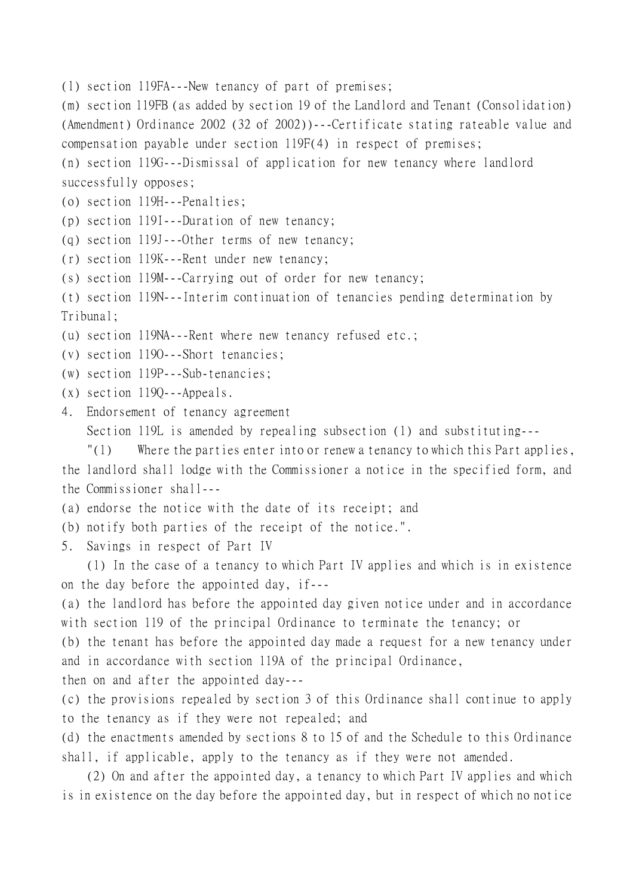(l) section 119FA---New tenancy of part of premises;

(m) section 119FB (as added by section 19 of the Landlord and Tenant (Consolidation) (Amendment) Ordinance 2002 (32 of 2002))---Certificate stating rateable value and compensation payable under section 119F(4) in respect of premises;

(n) section 119G---Dismissal of application for new tenancy where landlord successfully opposes;

(o) section 119H---Penalties;

(p) section 119I---Duration of new tenancy;

(q) section 119J---Other terms of new tenancy;

(r) section 119K---Rent under new tenancy;

(s) section 119M---Carrying out of order for new tenancy;

(t) section 119N---Interim continuation of tenancies pending determination by Tribunal;

(u) section 119NA---Rent where new tenancy refused etc.;

(v) section 119O---Short tenancies;

(w) section 119P---Sub-tenancies;

(x) section 119Q---Appeals.

4. Endorsement of tenancy agreement Section 119L is amended by repealing subsection (1) and substituting---

"(1) Where the parties enter into or renew a tenancy to which this Part applies, the landlord shall lodge with the Commissioner a notice in the specified form, and the Commissioner shall---

(a) endorse the notice with the date of its receipt; and

(b) notify both parties of the receipt of the notice.".

5. Savings in respect of Part IV

(1) In the case of a tenancy to which Part IV applies and which is in existence on the day before the appointed day, if---

(a) the landlord has before the appointed day given notice under and in accordance with section 119 of the principal Ordinance to terminate the tenancy; or

(b) the tenant has before the appointed day made a request for a new tenancy under and in accordance with section 119A of the principal Ordinance,

then on and after the appointed day---

(c) the provisions repealed by section 3 of this Ordinance shall continue to apply to the tenancy as if they were not repealed; and

(d) the enactments amended by sections 8 to 15 of and the Schedule to this Ordinance shall, if applicable, apply to the tenancy as if they were not amended.

(2) On and after the appointed day, a tenancy to which Part IV applies and which is in existence on the day before the appointed day, but in respect of which no notice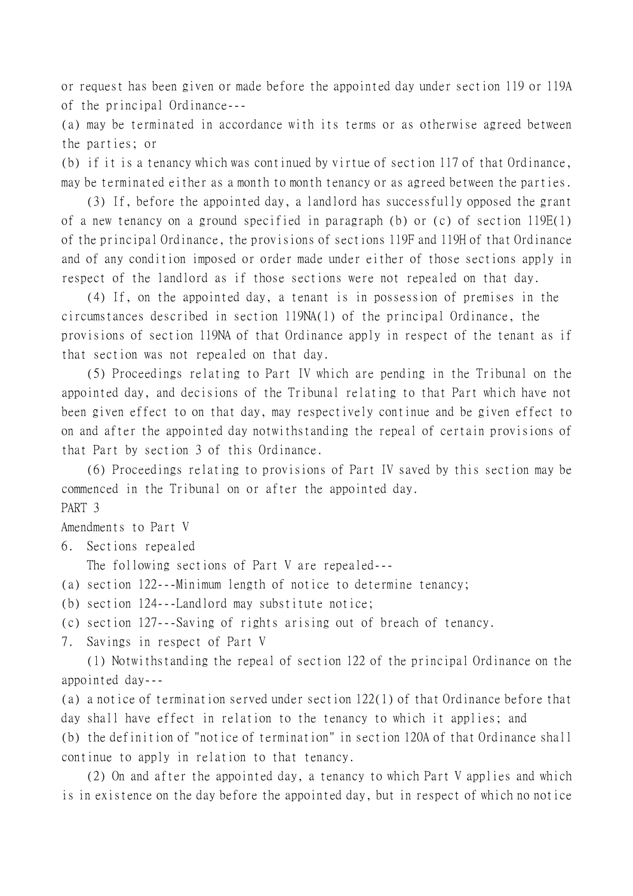or request has been given or made before the appointed day under section 119 or 119A of the principal Ordinance---

(a) may be terminated in accordance with its terms or as otherwise agreed between the parties; or

(b) if it is a tenancy which was continued by virtue of section 117 of that Ordinance, may be terminated either as a month to month tenancy or as agreed between the parties.

(3) If, before the appointed day, a landlord has successfully opposed the grant of a new tenancy on a ground specified in paragraph (b) or (c) of section 119E(1) of the principal Ordinance, the provisions of sections 119F and 119H of that Ordinance and of any condition imposed or order made under either of those sections apply in respect of the landlord as if those sections were not repealed on that day.

(4) If, on the appointed day, a tenant is in possession of premises in the circumstances described in section 119NA(1) of the principal Ordinance, the provisions of section 119NA of that Ordinance apply in respect of the tenant as if that section was not repealed on that day.

(5) Proceedings relating to Part IV which are pending in the Tribunal on the appointed day, and decisions of the Tribunal relating to that Part which have not been given effect to on that day, may respectively continue and be given effect to on and after the appointed day notwithstanding the repeal of certain provisions of that Part by section 3 of this Ordinance.

(6) Proceedings relating to provisions of Part IV saved by this section may be commenced in the Tribunal on or after the appointed day. PART 3

Amendments to Part V

6. Sections repealed

The following sections of Part V are repealed---

- (a) section 122---Minimum length of notice to determine tenancy;
- (b) section 124---Landlord may substitute notice;
- (c) section 127---Saving of rights arising out of breach of tenancy.
- 7. Savings in respect of Part V

(1) Notwithstanding the repeal of section 122 of the principal Ordinance on the appointed day---

(a) a notice of termination served under section 122(1) of that Ordinance before that day shall have effect in relation to the tenancy to which it applies; and

(b) the definition of "notice of termination" in section 120A of that Ordinance shall continue to apply in relation to that tenancy.

(2) On and after the appointed day, a tenancy to which Part V applies and which is in existence on the day before the appointed day, but in respect of which no notice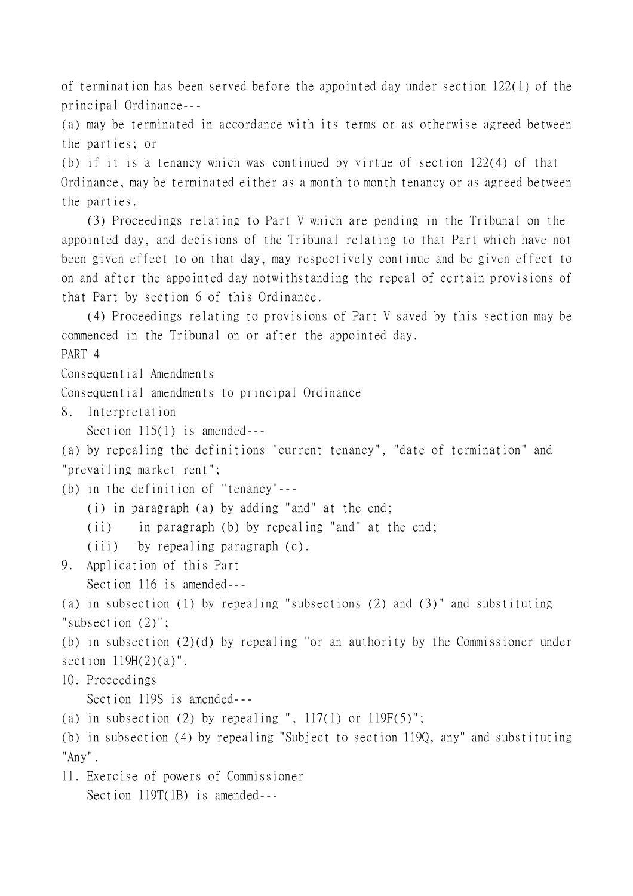of termination has been served before the appointed day under section 122(1) of the principal Ordinance---

(a) may be terminated in accordance with its terms or as otherwise agreed between the parties; or

(b) if it is a tenancy which was continued by virtue of section 122(4) of that Ordinance, may be terminated either as a month to month tenancy or as agreed between the parties.

(3) Proceedings relating to Part V which are pending in the Tribunal on the appointed day, and decisions of the Tribunal relating to that Part which have not been given effect to on that day, may respectively continue and be given effect to on and after the appointed day notwithstanding the repeal of certain provisions of that Part by section 6 of this Ordinance.

(4) Proceedings relating to provisions of Part V saved by this section may be commenced in the Tribunal on or after the appointed day.

PART 4

Consequential Amendments

Consequential amendments to principal Ordinance

8. Interpretation

Section 115(1) is amended---

(a) by repealing the definitions "current tenancy", "date of termination" and "prevailing market rent";

```
(b) in the definition of "tenancy"---
```
(i) in paragraph (a) by adding "and" at the end;

(ii) in paragraph (b) by repealing "and" at the end;

(iii) by repealing paragraph (c).

9. Application of this Part

Section 116 is amended---

(a) in subsection (1) by repealing "subsections (2) and (3)" and substituting "subsection (2)";

(b) in subsection (2)(d) by repealing "or an authority by the Commissioner under section  $119H(2)(a)$ ".

10. Proceedings

Section 119S is amended---

(a) in subsection (2) by repealing ",  $117(1)$  or  $119F(5)$ ";

(b) in subsection (4) by repealing "Subject to section 119Q, any" and substituting "Any".

11. Exercise of powers of Commissioner Section 119T(1B) is amended---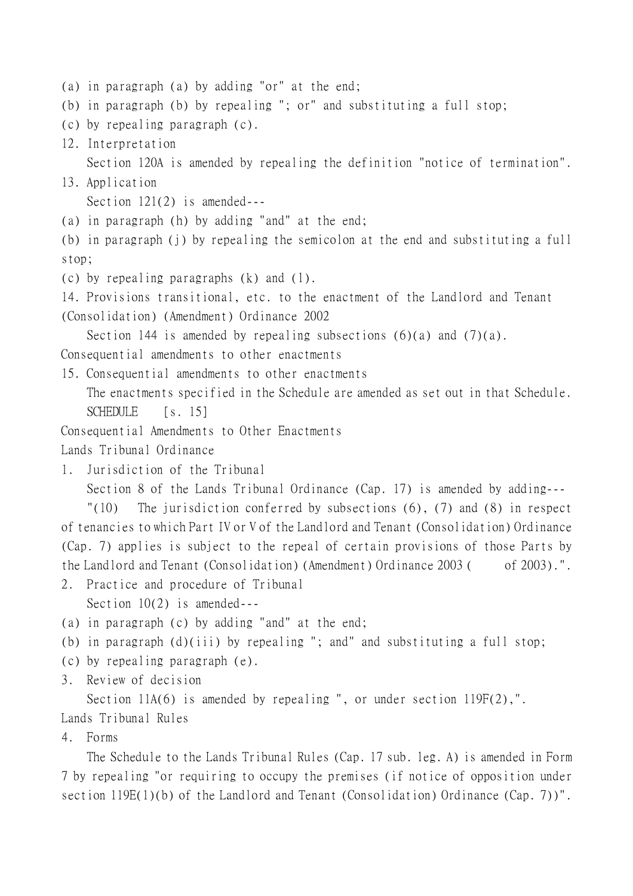```
(a) in paragraph (a) by adding "or" at the end;
```
(b) in paragraph (b) by repealing "; or" and substituting a full stop;

- (c) by repealing paragraph (c).
- 12. Interpretation

Section 120A is amended by repealing the definition "notice of termination".

13. Application

Section 121(2) is amended---

(a) in paragraph (h) by adding "and" at the end;

(b) in paragraph (j) by repealing the semicolon at the end and substituting a full stop;

(c) by repealing paragraphs (k) and (l).

14. Provisions transitional, etc. to the enactment of the Landlord and Tenant (Consolidation) (Amendment) Ordinance 2002

Section 144 is amended by repealing subsections  $(6)(a)$  and  $(7)(a)$ .

Consequential amendments to other enactments

15. Consequential amendments to other enactments

The enactments specified in the Schedule are amended as set out in that Schedule. SCHEDULE [s. 15]

Consequential Amendments to Other Enactments

Lands Tribunal Ordinance

1. Jurisdiction of the Tribunal

Section 8 of the Lands Tribunal Ordinance (Cap. 17) is amended by adding---

"(10) The jurisdiction conferred by subsections (6), (7) and (8) in respect of tenancies to which Part IV or V of the Landlord and Tenant (Consolidation) Ordinance (Cap. 7) applies is subject to the repeal of certain provisions of those Parts by the Landlord and Tenant (Consolidation) (Amendment) Ordinance 2003 ( of 2003).".

- 2. Practice and procedure of Tribunal Section 10(2) is amended---
- (a) in paragraph (c) by adding "and" at the end;
- (b) in paragraph (d)(iii) by repealing "; and" and substituting a full stop;
- (c) by repealing paragraph (e).
- 3. Review of decision

Section 11A(6) is amended by repealing ", or under section 119F(2),".

Lands Tribunal Rules

4. Forms

The Schedule to the Lands Tribunal Rules (Cap. 17 sub. leg. A) is amended in Form 7 by repealing "or requiring to occupy the premises (if notice of opposition under section 119E(1)(b) of the Landlord and Tenant (Consolidation) Ordinance (Cap. 7))".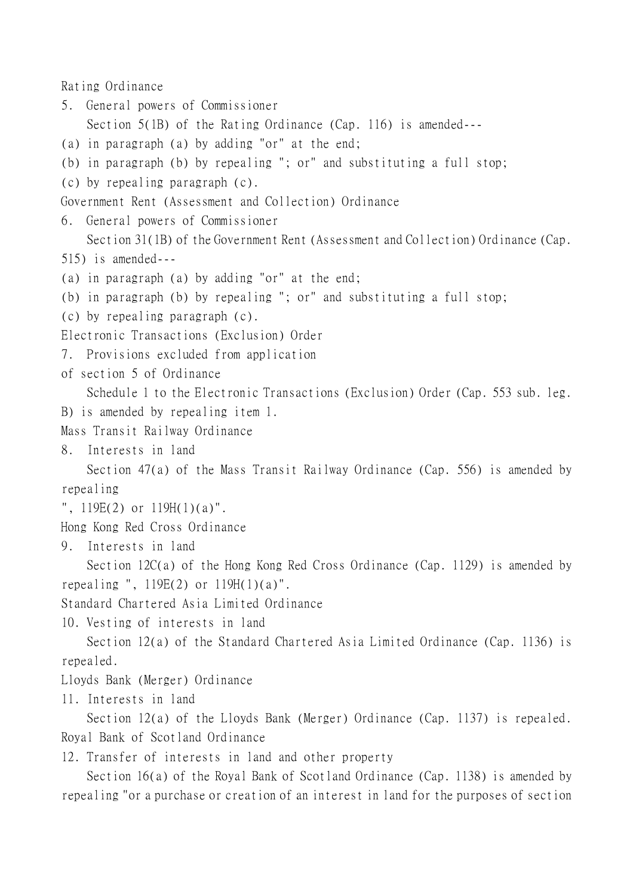Rating Ordinance

5. General powers of Commissioner Section 5(1B) of the Rating Ordinance (Cap. 116) is amended--- (a) in paragraph (a) by adding "or" at the end; (b) in paragraph (b) by repealing "; or" and substituting a full stop; (c) by repealing paragraph (c). Government Rent (Assessment and Collection) Ordinance 6. General powers of Commissioner Section 31(1B) of the Government Rent (Assessment and Collection) Ordinance (Cap. 515) is amended--- (a) in paragraph (a) by adding "or" at the end; (b) in paragraph (b) by repealing "; or" and substituting a full stop; (c) by repealing paragraph (c). Electronic Transactions (Exclusion) Order 7. Provisions excluded from application of section 5 of Ordinance Schedule 1 to the Electronic Transactions (Exclusion) Order (Cap. 553 sub. leg. B) is amended by repealing item 1. Mass Transit Railway Ordinance 8. Interests in land Section 47(a) of the Mass Transit Railway Ordinance (Cap. 556) is amended by repealing ",  $119E(2)$  or  $119H(1)(a)$ ". Hong Kong Red Cross Ordinance 9. Interests in land Section 12C(a) of the Hong Kong Red Cross Ordinance (Cap. 1129) is amended by repealing ", 119E(2) or 119H(1)(a)". Standard Chartered Asia Limited Ordinance 10. Vesting of interests in land Section 12(a) of the Standard Chartered Asia Limited Ordinance (Cap. 1136) is repealed. Lloyds Bank (Merger) Ordinance 11. Interests in land Section 12(a) of the Lloyds Bank (Merger) Ordinance (Cap. 1137) is repealed. Royal Bank of Scotland Ordinance 12. Transfer of interests in land and other property

Section 16(a) of the Royal Bank of Scotland Ordinance (Cap. 1138) is amended by repealing "or a purchase or creation of an interest in land for the purposes of section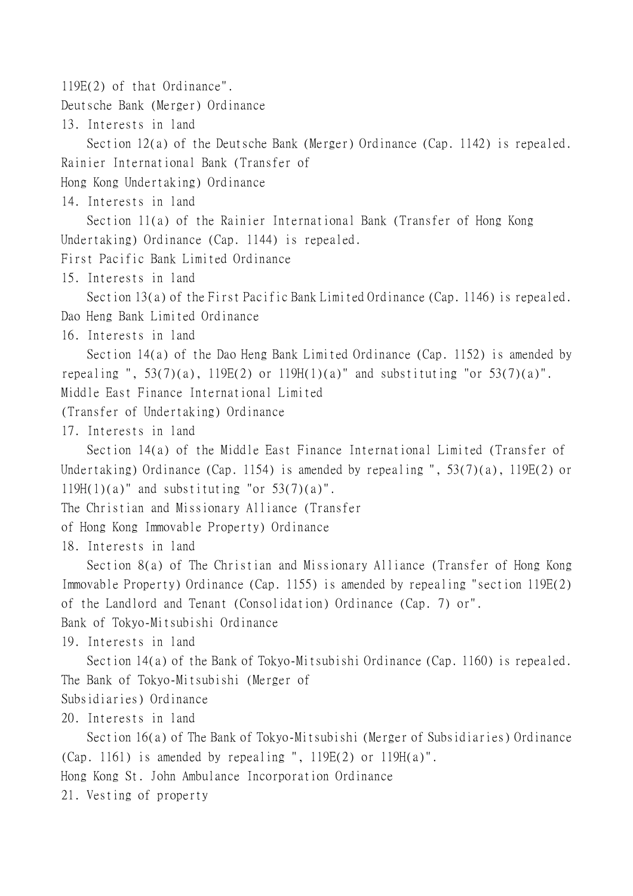119E(2) of that Ordinance".

Deutsche Bank (Merger) Ordinance

13. Interests in land

Section 12(a) of the Deutsche Bank (Merger) Ordinance (Cap. 1142) is repealed. Rainier International Bank (Transfer of

Hong Kong Undertaking) Ordinance

14. Interests in land

Section 11(a) of the Rainier International Bank (Transfer of Hong Kong Undertaking) Ordinance (Cap. 1144) is repealed.

First Pacific Bank Limited Ordinance

15. Interests in land

Section 13(a) of the First Pacific Bank Limited Ordinance (Cap. 1146) is repealed. Dao Heng Bank Limited Ordinance

16. Interests in land

Section 14(a) of the Dao Heng Bank Limited Ordinance (Cap. 1152) is amended by repealing ",  $53(7)(a)$ ,  $119E(2)$  or  $119H(1)(a)$ " and substituting "or  $53(7)(a)$ ". Middle East Finance International Limited

(Transfer of Undertaking) Ordinance

17. Interests in land

Section 14(a) of the Middle East Finance International Limited (Transfer of Undertaking) Ordinance (Cap. 1154) is amended by repealing ", 53(7)(a), 119E(2) or  $119H(1)(a)$ " and substituting "or  $53(7)(a)$ ".

The Christian and Missionary Alliance (Transfer

of Hong Kong Immovable Property) Ordinance

18. Interests in land

Section 8(a) of The Christian and Missionary Alliance (Transfer of Hong Kong Immovable Property) Ordinance (Cap. 1155) is amended by repealing "section 119E(2) of the Landlord and Tenant (Consolidation) Ordinance (Cap. 7) or".

Bank of Tokyo-Mitsubishi Ordinance

19. Interests in land

Section 14(a) of the Bank of Tokyo-Mitsubishi Ordinance (Cap. 1160) is repealed. The Bank of Tokyo-Mitsubishi (Merger of

Subsidiaries) Ordinance

20. Interests in land

Section 16(a) of The Bank of Tokyo-Mitsubishi (Merger of Subsidiaries) Ordinance (Cap. 1161) is amended by repealing ",  $119E(2)$  or  $119H(a)$ ".

Hong Kong St. John Ambulance Incorporation Ordinance

21. Vesting of property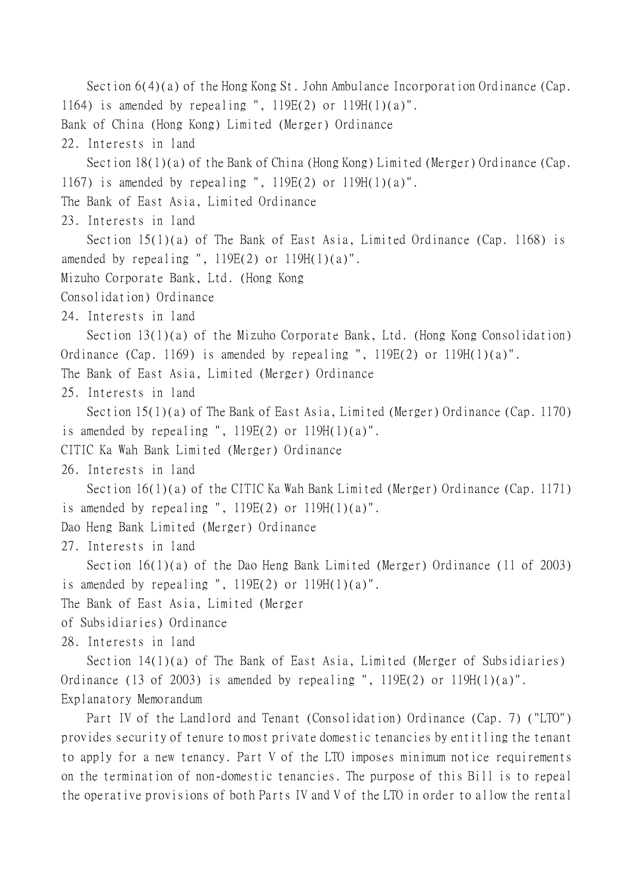```
Section 6(4)(a) of the Hong Kong St. John Ambulance Incorporation Ordinance (Cap.
1164) is amended by repealing ", 119E(2) or 119H(1)(a)".
Bank of China (Hong Kong) Limited (Merger) Ordinance
22. Interests in land
    Section 18(1)(a) of the Bank of China (Hong Kong) Limited (Merger) Ordinance (Cap.
1167) is amended by repealing ", 119E(2) or 119H(1)(a)".
The Bank of East Asia, Limited Ordinance
23. Interests in land
    Section 15(1)(a) of The Bank of East Asia, Limited Ordinance (Cap. 1168) is
amended by repealing ", 119E(2) or 119H(1)(a)".
Mizuho Corporate Bank, Ltd. (Hong Kong
Consolidation) Ordinance
24. Interests in land
    Section 13(1)(a) of the Mizuho Corporate Bank, Ltd. (Hong Kong Consolidation)
Ordinance (Cap. 1169) is amended by repealing ", 119E(2) or 119H(1)(a)".
The Bank of East Asia, Limited (Merger) Ordinance
25. Interests in land
    Section 15(1)(a) of The Bank of East Asia, Limited (Merger) Ordinance (Cap. 1170)
is amended by repealing ", 119E(2) or 119H(1)(a)".
CITIC Ka Wah Bank Limited (Merger) Ordinance
26. Interests in land
    Section 16(1)(a) of the CITIC Ka Wah Bank Limited (Merger) Ordinance (Cap. 1171)
is amended by repealing ", 119E(2) or 119H(1)(a)".
Dao Heng Bank Limited (Merger) Ordinance
27. Interests in land
    Section 16(1)(a) of the Dao Heng Bank Limited (Merger) Ordinance (11 of 2003)
is amended by repealing ", 119E(2) or 119H(1)(a)".
The Bank of East Asia, Limited (Merger
of Subsidiaries) Ordinance
28. Interests in land
    Section 14(1)(a) of The Bank of East Asia, Limited (Merger of Subsidiaries)
Ordinance (13 of 2003) is amended by repealing ", 119E(2) or 119H(1)(a)".
Explanatory Memorandum
```
Part IV of the Landlord and Tenant (Consolidation) Ordinance (Cap. 7) ("LTO") provides security of tenure to most private domestic tenancies by entitling the tenant to apply for a new tenancy. Part V of the LTO imposes minimum notice requirements on the termination of non-domestic tenancies. The purpose of this Bill is to repeal the operative provisions of both Parts IV and V of the LTO in order to allow the rental